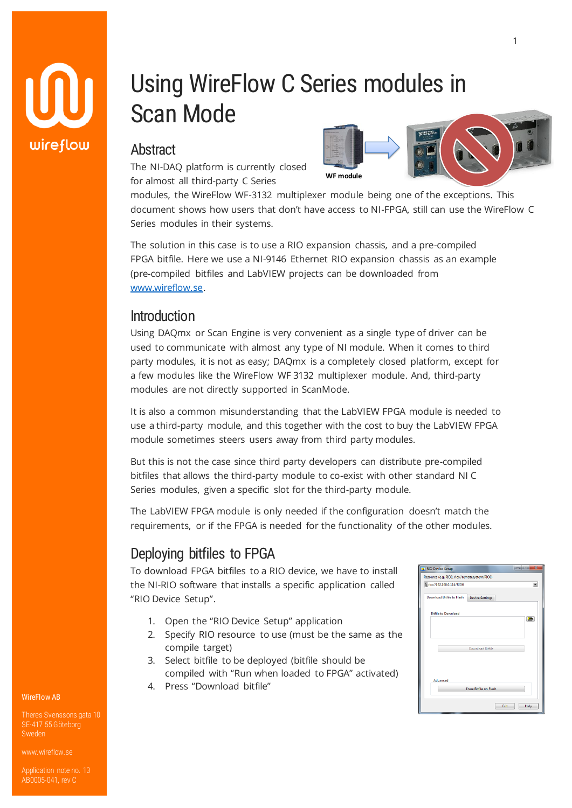

# Using WireFlow C Series modules in Scan Mode

## Abstract

The NI-DAQ platform is currently closed for almost all third-party C Series



modules, the WireFlow WF-3132 multiplexer module being one of the exceptions. This document shows how users that don't have access to NI-FPGA, still can use the WireFlow C Series modules in their systems.

The solution in this case is to use a RIO expansion chassis, and a pre-compiled FPGA bitfile. Here we use a NI-9146 Ethernet RIO expansion chassis as an example (pre-compiled bitfiles and LabVIEW projects can be downloaded from [www.wireflow.se.](www.wireflow.se)

### **Introduction**

Using DAQmx or Scan Engine is very convenient as a single type of driver can be used to communicate with almost any type of NI module. When it comes to third party modules, it is not as easy; DAQmx is a completely closed platform, except for a few modules like the WireFlow WF 3132 multiplexer module. And, third-party modules are not directly supported in ScanMode.

It is also a common misunderstanding that the LabVIEW FPGA module is needed to use a third-party module, and this together with the cost to buy the LabVIEW FPGA module sometimes steers users away from third party modules.

But this is not the case since third party developers can distribute pre-compiled bitfiles that allows the third-party module to co-exist with other standard NI C Series modules, given a specific slot for the third-party module.

The LabVIEW FPGA module is only needed if the configuration doesn't match the requirements, or if the FPGA is needed for the functionality of the other modules.

# Deploying bitfiles to FPGA

To download FPGA bitfiles to a RIO device, we have to install the NI-RIO software that installs a specific application called "RIO Device Setup".

- 1. Open the "RIO Device Setup" application
- 2. Specify RIO resource to use (must be the same as the compile target)
- 3. Select bitfile to be deployed (bitfile should be compiled with "Run when loaded to FPGA" activated)
- 4. Press "Download bitfile"



#### WireFlow AB

Theres Svenssons gata 10 SE-417 55 Göteborg

[www.wireflow.se](https://www.wireflow.se/)

Application note no. 13